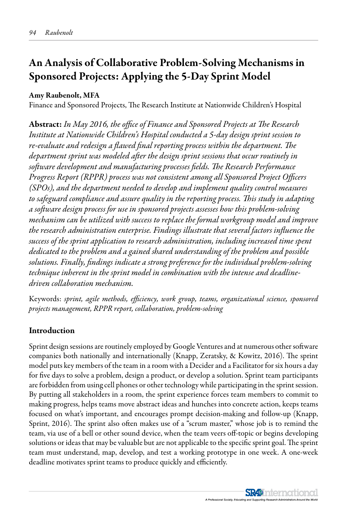# An Analysis of Collaborative Problem-Solving Mechanisms in Sponsored Projects: Applying the 5-Day Sprint Model

### Amy Raubenolt, MFA

Finance and Sponsored Projects, The Research Institute at Nationwide Children's Hospital

Abstract: *In May 2016, the office of Finance and Sponsored Projects at The Research Institute at Nationwide Children's Hospital conducted a 5-day design sprint session to re-evaluate and redesign a flawed final reporting process within the department. The department sprint was modeled after the design sprint sessions that occur routinely in software development and manufacturing processes fields. The Research Performance Progress Report (RPPR) process was not consistent among all Sponsored Project Officers (SPOs), and the department needed to develop and implement quality control measures to safeguard compliance and assure quality in the reporting process. This study in adapting a software design process for use in sponsored projects assesses how this problem-solving mechanism can be utilized with success to replace the formal workgroup model and improve the research administration enterprise. Findings illustrate that several factors influence the success of the sprint application to research administration, including increased time spent dedicated to the problem and a gained shared understanding of the problem and possible solutions. Finally, findings indicate a strong preference for the individual problem-solving technique inherent in the sprint model in combination with the intense and deadlinedriven collaboration mechanism.*

Keywords: *sprint, agile methods, efficiency, work group, teams, organizational science, sponsored projects management, RPPR report, collaboration, problem-solving*

# Introduction

Sprint design sessions are routinely employed by Google Ventures and at numerous other software companies both nationally and internationally (Knapp, Zeratsky, & Kowitz, 2016). The sprint model puts key members of the team in a room with a Decider and a Facilitator for six hours a day for five days to solve a problem, design a product, or develop a solution. Sprint team participants are forbidden from using cell phones or other technology while participating in the sprint session. By putting all stakeholders in a room, the sprint experience forces team members to commit to making progress, helps teams move abstract ideas and hunches into concrete action, keeps teams focused on what's important, and encourages prompt decision-making and follow-up (Knapp, Sprint, 2016). The sprint also often makes use of a "scrum master," whose job is to remind the team, via use of a bell or other sound device, when the team veers off-topic or begins developing solutions or ideas that may be valuable but are not applicable to the specific sprint goal. The sprint team must understand, map, develop, and test a working prototype in one week. A one-week deadline motivates sprint teams to produce quickly and efficiently.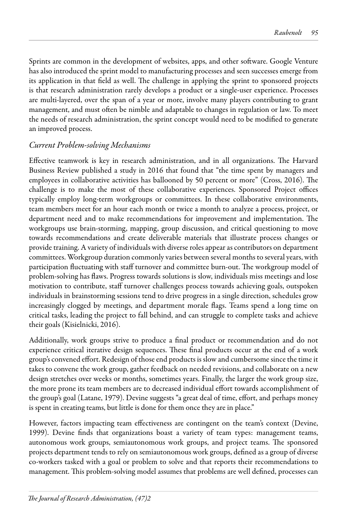Sprints are common in the development of websites, apps, and other software. Google Venture has also introduced the sprint model to manufacturing processes and seen successes emerge from its application in that field as well. The challenge in applying the sprint to sponsored projects is that research administration rarely develops a product or a single-user experience. Processes are multi-layered, over the span of a year or more, involve many players contributing to grant management, and must often be nimble and adaptable to changes in regulation or law. To meet the needs of research administration, the sprint concept would need to be modified to generate an improved process.

### *Current Problem-solving Mechanisms*

Effective teamwork is key in research administration, and in all organizations. The Harvard Business Review published a study in 2016 that found that "the time spent by managers and employees in collaborative activities has ballooned by 50 percent or more" (Cross, 2016). The challenge is to make the most of these collaborative experiences. Sponsored Project offices typically employ long-term workgroups or committees. In these collaborative environments, team members meet for an hour each month or twice a month to analyze a process, project, or department need and to make recommendations for improvement and implementation. The workgroups use brain-storming, mapping, group discussion, and critical questioning to move towards recommendations and create deliverable materials that illustrate process changes or provide training. A variety of individuals with diverse roles appear as contributors on department committees. Workgroup duration commonly varies between several months to several years, with participation fluctuating with staff turnover and committee burn-out. The workgroup model of problem-solving has flaws. Progress towards solutions is slow, individuals miss meetings and lose motivation to contribute, staff turnover challenges process towards achieving goals, outspoken individuals in brainstorming sessions tend to drive progress in a single direction, schedules grow increasingly clogged by meetings, and department morale flags. Teams spend a long time on critical tasks, leading the project to fall behind, and can struggle to complete tasks and achieve their goals (Kisielnicki, 2016).

Additionally, work groups strive to produce a final product or recommendation and do not experience critical iterative design sequences. These final products occur at the end of a work group's convened effort. Redesign of those end products is slow and cumbersome since the time it takes to convene the work group, gather feedback on needed revisions, and collaborate on a new design stretches over weeks or months, sometimes years. Finally, the larger the work group size, the more prone its team members are to decreased individual effort towards accomplishment of the group's goal (Latane, 1979). Devine suggests "a great deal of time, effort, and perhaps money is spent in creating teams, but little is done for them once they are in place."

However, factors impacting team effectiveness are contingent on the team's context (Devine, 1999). Devine finds that organizations boast a variety of team types: management teams, autonomous work groups, semiautonomous work groups, and project teams. The sponsored projects department tends to rely on semiautonomous work groups, defined as a group of diverse co-workers tasked with a goal or problem to solve and that reports their recommendations to management. This problem-solving model assumes that problems are well defined, processes can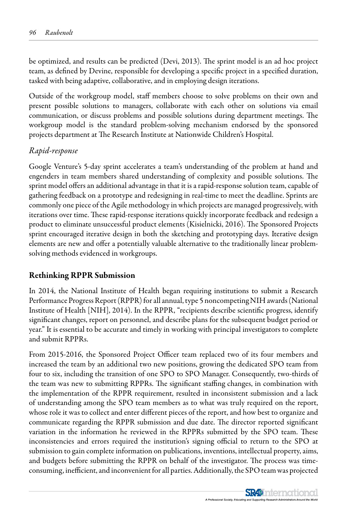be optimized, and results can be predicted (Devi, 2013). The sprint model is an ad hoc project team, as defined by Devine, responsible for developing a specific project in a specified duration, tasked with being adaptive, collaborative, and in employing design iterations.

Outside of the workgroup model, staff members choose to solve problems on their own and present possible solutions to managers, collaborate with each other on solutions via email communication, or discuss problems and possible solutions during department meetings. The workgroup model is the standard problem-solving mechanism endorsed by the sponsored projects department at The Research Institute at Nationwide Children's Hospital.

# *Rapid-response*

Google Venture's 5-day sprint accelerates a team's understanding of the problem at hand and engenders in team members shared understanding of complexity and possible solutions. The sprint model offers an additional advantage in that it is a rapid-response solution team, capable of gathering feedback on a prototype and redesigning in real-time to meet the deadline. Sprints are commonly one piece of the Agile methodology in which projects are managed progressively, with iterations over time. These rapid-response iterations quickly incorporate feedback and redesign a product to eliminate unsuccessful product elements (Kisielnicki, 2016). The Sponsored Projects sprint encouraged iterative design in both the sketching and prototyping days. Iterative design elements are new and offer a potentially valuable alternative to the traditionally linear problemsolving methods evidenced in workgroups.

# Rethinking RPPR Submission

In 2014, the National Institute of Health began requiring institutions to submit a Research Performance Progress Report (RPPR) for all annual, type 5 noncompeting NIH awards (National Institute of Health [NIH], 2014). In the RPPR, "recipients describe scientific progress, identify significant changes, report on personnel, and describe plans for the subsequent budget period or year." It is essential to be accurate and timely in working with principal investigators to complete and submit RPPRs.

From 2015-2016, the Sponsored Project Officer team replaced two of its four members and increased the team by an additional two new positions, growing the dedicated SPO team from four to six, including the transition of one SPO to SPO Manager. Consequently, two-thirds of the team was new to submitting RPPRs. The significant staffing changes, in combination with the implementation of the RPPR requirement, resulted in inconsistent submission and a lack of understanding among the SPO team members as to what was truly required on the report, whose role it was to collect and enter different pieces of the report, and how best to organize and communicate regarding the RPPR submission and due date. The director reported significant variation in the information he reviewed in the RPPRs submitted by the SPO team. These inconsistencies and errors required the institution's signing official to return to the SPO at submission to gain complete information on publications, inventions, intellectual property, aims, and budgets before submitting the RPPR on behalf of the investigator. The process was timeconsuming, inefficient, and inconvenient for all parties. Additionally, the SPO team was projected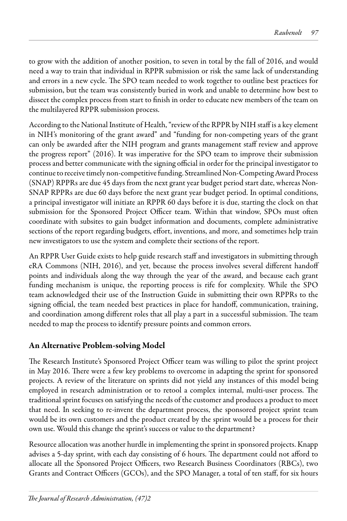to grow with the addition of another position, to seven in total by the fall of 2016, and would need a way to train that individual in RPPR submission or risk the same lack of understanding and errors in a new cycle. The SPO team needed to work together to outline best practices for submission, but the team was consistently buried in work and unable to determine how best to dissect the complex process from start to finish in order to educate new members of the team on the multilayered RPPR submission process.

According to the National Institute of Health, "review of the RPPR by NIH staff is a key element in NIH's monitoring of the grant award" and "funding for non-competing years of the grant can only be awarded after the NIH program and grants management staff review and approve the progress report" (2016). It was imperative for the SPO team to improve their submission process and better communicate with the signing official in order for the principal investigator to continue to receive timely non-competitive funding. Streamlined Non-Competing Award Process (SNAP) RPPRs are due 45 days from the next grant year budget period start date, whereas Non-SNAP RPPRs are due 60 days before the next grant year budget period. In optimal conditions, a principal investigator will initiate an RPPR 60 days before it is due, starting the clock on that submission for the Sponsored Project Officer team. Within that window, SPOs must often coordinate with subsites to gain budget information and documents, complete administrative sections of the report regarding budgets, effort, inventions, and more, and sometimes help train new investigators to use the system and complete their sections of the report.

An RPPR User Guide exists to help guide research staff and investigators in submitting through eRA Commons (NIH, 2016), and yet, because the process involves several different handoff points and individuals along the way through the year of the award, and because each grant funding mechanism is unique, the reporting process is rife for complexity. While the SPO team acknowledged their use of the Instruction Guide in submitting their own RPPRs to the signing official, the team needed best practices in place for handoff, communication, training, and coordination among different roles that all play a part in a successful submission. The team needed to map the process to identify pressure points and common errors.

# An Alternative Problem-solving Model

The Research Institute's Sponsored Project Officer team was willing to pilot the sprint project in May 2016. There were a few key problems to overcome in adapting the sprint for sponsored projects. A review of the literature on sprints did not yield any instances of this model being employed in research administration or to retool a complex internal, multi-user process. The traditional sprint focuses on satisfying the needs of the customer and produces a product to meet that need. In seeking to re-invent the department process, the sponsored project sprint team would be its own customers and the product created by the sprint would be a process for their own use. Would this change the sprint's success or value to the department?

Resource allocation was another hurdle in implementing the sprint in sponsored projects. Knapp advises a 5-day sprint, with each day consisting of 6 hours. The department could not afford to allocate all the Sponsored Project Officers, two Research Business Coordinators (RBCs), two Grants and Contract Officers (GCOs), and the SPO Manager, a total of ten staff, for six hours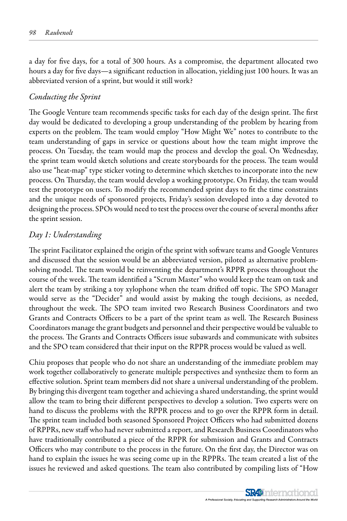a day for five days, for a total of 300 hours. As a compromise, the department allocated two hours a day for five days—a significant reduction in allocation, yielding just 100 hours. It was an abbreviated version of a sprint, but would it still work?

#### *Conducting the Sprint*

The Google Venture team recommends specific tasks for each day of the design sprint. The first day would be dedicated to developing a group understanding of the problem by hearing from experts on the problem. The team would employ "How Might We" notes to contribute to the team understanding of gaps in service or questions about how the team might improve the process. On Tuesday, the team would map the process and develop the goal. On Wednesday, the sprint team would sketch solutions and create storyboards for the process. The team would also use "heat-map" type sticker voting to determine which sketches to incorporate into the new process. On Thursday, the team would develop a working prototype. On Friday, the team would test the prototype on users. To modify the recommended sprint days to fit the time constraints and the unique needs of sponsored projects, Friday's session developed into a day devoted to designing the process. SPOs would need to test the process over the course of several months after the sprint session.

### *Day 1: Understanding*

The sprint Facilitator explained the origin of the sprint with software teams and Google Ventures and discussed that the session would be an abbreviated version, piloted as alternative problemsolving model. The team would be reinventing the department's RPPR process throughout the course of the week. The team identified a "Scrum Master" who would keep the team on task and alert the team by striking a toy xylophone when the team drifted off topic. The SPO Manager would serve as the "Decider" and would assist by making the tough decisions, as needed, throughout the week. The SPO team invited two Research Business Coordinators and two Grants and Contracts Officers to be a part of the sprint team as well. The Research Business Coordinators manage the grant budgets and personnel and their perspective would be valuable to the process. The Grants and Contracts Officers issue subawards and communicate with subsites and the SPO team considered that their input on the RPPR process would be valued as well.

Chiu proposes that people who do not share an understanding of the immediate problem may work together collaboratively to generate multiple perspectives and synthesize them to form an effective solution. Sprint team members did not share a universal understanding of the problem. By bringing this divergent team together and achieving a shared understanding, the sprint would allow the team to bring their different perspectives to develop a solution. Two experts were on hand to discuss the problems with the RPPR process and to go over the RPPR form in detail. The sprint team included both seasoned Sponsored Project Officers who had submitted dozens of RPPRs, new staff who had never submitted a report, and Research Business Coordinators who have traditionally contributed a piece of the RPPR for submission and Grants and Contracts Officers who may contribute to the process in the future. On the first day, the Director was on hand to explain the issues he was seeing come up in the RPPRs. The team created a list of the issues he reviewed and asked questions. The team also contributed by compiling lists of "How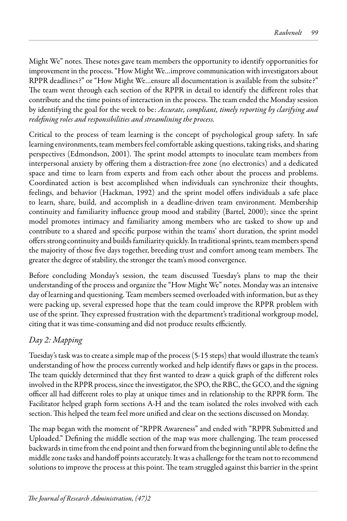Might We" notes. These notes gave team members the opportunity to identify opportunities for improvement in the process. "How Might We…improve communication with investigators about RPPR deadlines?" or "How Might We…ensure all documentation is available from the subsite?" The team went through each section of the RPPR in detail to identify the different roles that contribute and the time points of interaction in the process. The team ended the Monday session by identifying the goal for the week to be: *Accurate, compliant, timely reporting by clarifying and redefining roles and responsibilities and streamlining the process.*

Critical to the process of team learning is the concept of psychological group safety. In safe learning environments, team members feel comfortable asking questions, taking risks, and sharing perspectives (Edmondson, 2001). The sprint model attempts to inoculate team members from interpersonal anxiety by offering them a distraction-free zone (no electronics) and a dedicated space and time to learn from experts and from each other about the process and problems. Coordinated action is best accomplished when individuals can synchronize their thoughts, feelings, and behavior (Hackman, 1992) and the sprint model offers individuals a safe place to learn, share, build, and accomplish in a deadline-driven team environment. Membership continuity and familiarity influence group mood and stability (Bartel, 2000); since the sprint model promotes intimacy and familiarity among members who are tasked to show up and contribute to a shared and specific purpose within the teams' short duration, the sprint model offers strong continuity and builds familiarity quickly. In traditional sprints, team members spend the majority of those five days together, breeding trust and comfort among team members. The greater the degree of stability, the stronger the team's mood convergence.

Before concluding Monday's session, the team discussed Tuesday's plans to map the their understanding of the process and organize the "How Might We" notes. Monday was an intensive day of learning and questioning. Team members seemed overloaded with information, but as they were packing up, several expressed hope that the team could improve the RPPR problem with use of the sprint. They expressed frustration with the department's traditional workgroup model, citing that it was time-consuming and did not produce results efficiently.

# *Day 2: Mapping*

Tuesday's task was to create a simple map of the process (5-15 steps) that would illustrate the team's understanding of how the process currently worked and help identify flaws or gaps in the process. The team quickly determined that they first wanted to draw a quick graph of the different roles involved in the RPPR process, since the investigator, the SPO, the RBC, the GCO, and the signing officer all had different roles to play at unique times and in relationship to the RPPR form. The Facilitator helped graph form sections A-H and the team isolated the roles involved with each section. This helped the team feel more unified and clear on the sections discussed on Monday.

The map began with the moment of "RPPR Awareness" and ended with "RPPR Submitted and Uploaded." Defining the middle section of the map was more challenging. The team processed backwards in time from the end point and then forward from the beginning until able to define the middle zone tasks and handoff points accurately. It was a challenge for the team not to recommend solutions to improve the process at this point. The team struggled against this barrier in the sprint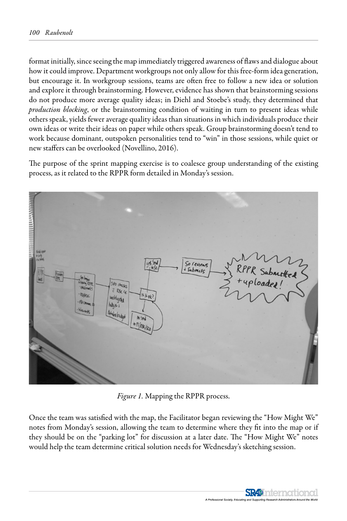format initially, since seeing the map immediately triggered awareness of flaws and dialogue about how it could improve. Department workgroups not only allow for this free-form idea generation, but encourage it. In workgroup sessions, teams are often free to follow a new idea or solution and explore it through brainstorming. However, evidence has shown that brainstorming sessions do not produce more average quality ideas; in Diehl and Stoebe's study, they determined that *production blocking*, or the brainstorming condition of waiting in turn to present ideas while others speak, yields fewer average quality ideas than situations in which individuals produce their own ideas or write their ideas on paper while others speak. Group brainstorming doesn't tend to work because dominant, outspoken personalities tend to "win" in those sessions, while quiet or new staffers can be overlooked (Novellino, 2016).

The purpose of the sprint mapping exercise is to coalesce group understanding of the existing process, as it related to the RPPR form detailed in Monday's session.



*Figure 1.* Mapping the RPPR process.

Once the team was satisfied with the map, the Facilitator began reviewing the "How Might We" notes from Monday's session, allowing the team to determine where they fit into the map or if they should be on the "parking lot" for discussion at a later date. The "How Might We" notes would help the team determine critical solution needs for Wednesday's sketching session.

> **SR49** International al Society, Edu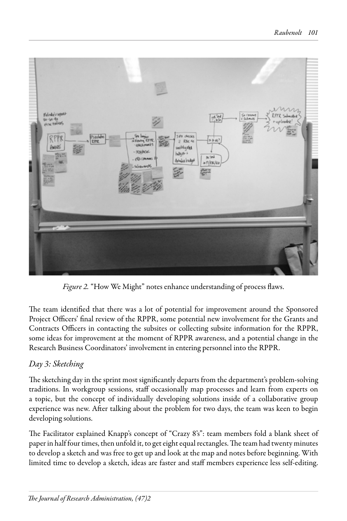

*Figure 2.* "How We Might" notes enhance understanding of process flaws.

The team identified that there was a lot of potential for improvement around the Sponsored Project Officers' final review of the RPPR, some potential new involvement for the Grants and Contracts Officers in contacting the subsites or collecting subsite information for the RPPR, some ideas for improvement at the moment of RPPR awareness, and a potential change in the Research Business Coordinators' involvement in entering personnel into the RPPR.

# *Day 3: Sketching*

The sketching day in the sprint most significantly departs from the department's problem-solving traditions. In workgroup sessions, staff occasionally map processes and learn from experts on a topic, but the concept of individually developing solutions inside of a collaborative group experience was new. After talking about the problem for two days, the team was keen to begin developing solutions.

The Facilitator explained Knapp's concept of "Crazy 8's": team members fold a blank sheet of paper in half four times, then unfold it, to get eight equal rectangles. The team had twenty minutes to develop a sketch and was free to get up and look at the map and notes before beginning. With limited time to develop a sketch, ideas are faster and staff members experience less self-editing.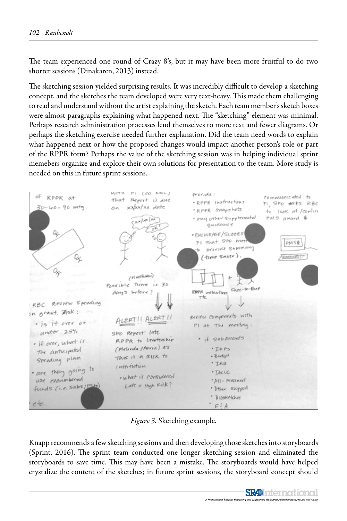The team experienced one round of Crazy 8's, but it may have been more fruitful to do two shorter sessions (Dinakaren, 2013) instead.

The sketching session yielded surprising results. It was incredibly difficult to develop a sketching concept, and the sketches the team developed were very text-heavy. This made them challenging to read and understand without the artist explaining the sketch. Each team member's sketch boxes were almost paragraphs explaining what happened next. The "sketching" element was minimal. Perhaps research administration processes lend themselves to more text and fewer diagrams. Or perhaps the sketching exercise needed further explanation. Did the team need words to explain what happened next or how the proposed changes would impact another person's role or part of the RPPR form? Perhaps the value of the sketching session was in helping individual sprint memebers organize and explore their own solutions for presentation to the team. More study is needed on this in future sprint sessions.



*Figure 3.* Sketching example.

Knapp recommends a few sketching sessions and then developing those sketches into storyboards (Sprint, 2016). The sprint team conducted one longer sketching session and eliminated the storyboards to save time. This may have been a mistake. The storyboards would have helped crystalize the content of the sketches; in future sprint sessions, the storyboard concept should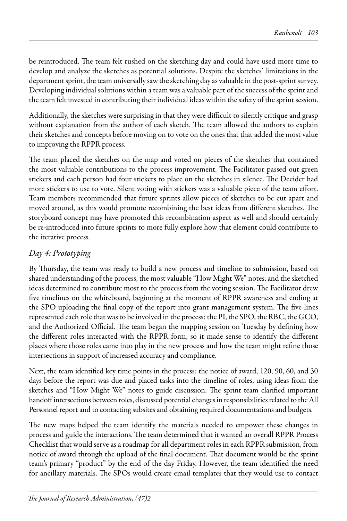be reintroduced. The team felt rushed on the sketching day and could have used more time to develop and analyze the sketches as potential solutions. Despite the sketches' limitations in the department sprint, the team universally saw the sketching day as valuable in the post-sprint survey. Developing individual solutions within a team was a valuable part of the success of the sprint and the team felt invested in contributing their individual ideas within the safety of the sprint session.

Additionally, the sketches were surprising in that they were difficult to silently critique and grasp without explanation from the author of each sketch. The team allowed the authors to explain their sketches and concepts before moving on to vote on the ones that that added the most value to improving the RPPR process.

The team placed the sketches on the map and voted on pieces of the sketches that contained the most valuable contributions to the process improvement. The Facilitator passed out green stickers and each person had four stickers to place on the sketches in silence. The Decider had more stickers to use to vote. Silent voting with stickers was a valuable piece of the team effort. Team members recommended that future sprints allow pieces of sketches to be cut apart and moved around, as this would promote recombining the best ideas from different sketches. The storyboard concept may have promoted this recombination aspect as well and should certainly be re-introduced into future sprints to more fully explore how that element could contribute to the iterative process.

# *Day 4: Prototyping*

By Thursday, the team was ready to build a new process and timeline to submission, based on shared understanding of the process, the most valuable "How Might We" notes, and the sketched ideas determined to contribute most to the process from the voting session. The Facilitator drew five timelines on the whiteboard, beginning at the moment of RPPR awareness and ending at the SPO uploading the final copy of the report into grant management system. The five lines represented each role that was to be involved in the process: the PI, the SPO, the RBC, the GCO, and the Authorized Official. The team began the mapping session on Tuesday by defining how the different roles interacted with the RPPR form, so it made sense to identify the different places where those roles came into play in the new process and how the team might refine those intersections in support of increased accuracy and compliance.

Next, the team identified key time points in the process: the notice of award, 120, 90, 60, and 30 days before the report was due and placed tasks into the timeline of roles, using ideas from the sketches and "How Might We" notes to guide discussion. The sprint team clarified important handoff intersections between roles, discussed potential changes in responsibilities related to the All Personnel report and to contacting subsites and obtaining required documentations and budgets.

The new maps helped the team identify the materials needed to empower these changes in process and guide the interactions. The team determined that it wanted an overall RPPR Process Checklist that would serve as a roadmap for all department roles in each RPPR submission, from notice of award through the upload of the final document. That document would be the sprint team's primary "product" by the end of the day Friday. However, the team identified the need for ancillary materials. The SPOs would create email templates that they would use to contact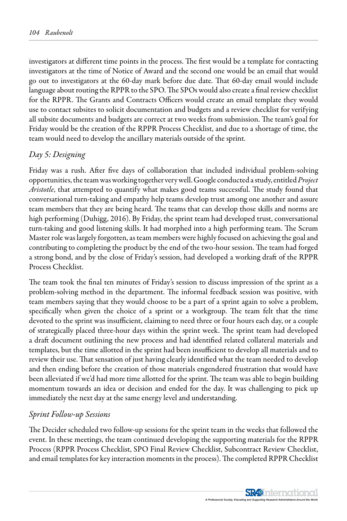investigators at different time points in the process. The first would be a template for contacting investigators at the time of Notice of Award and the second one would be an email that would go out to investigators at the 60-day mark before due date. That 60-day email would include language about routing the RPPR to the SPO. The SPOs would also create a final review checklist for the RPPR. The Grants and Contracts Officers would create an email template they would use to contact subsites to solicit documentation and budgets and a review checklist for verifying all subsite documents and budgets are correct at two weeks from submission. The team's goal for Friday would be the creation of the RPPR Process Checklist, and due to a shortage of time, the team would need to develop the ancillary materials outside of the sprint.

### *Day 5: Designing*

Friday was a rush. After five days of collaboration that included individual problem-solving opportunities, the team was working together very well. Google conducted a study, entitled *Project Aristotle*, that attempted to quantify what makes good teams successful. The study found that conversational turn-taking and empathy help teams develop trust among one another and assure team members that they are being heard. The teams that can develop those skills and norms are high performing (Duhigg, 2016). By Friday, the sprint team had developed trust, conversational turn-taking and good listening skills. It had morphed into a high performing team. The Scrum Master role was largely forgotten, as team members were highly focused on achieving the goal and contributing to completing the product by the end of the two-hour session. The team had forged a strong bond, and by the close of Friday's session, had developed a working draft of the RPPR Process Checklist.

The team took the final ten minutes of Friday's session to discuss impression of the sprint as a problem-solving method in the department. The informal feedback session was positive, with team members saying that they would choose to be a part of a sprint again to solve a problem, specifically when given the choice of a sprint or a workgroup. The team felt that the time devoted to the sprint was insufficient, claiming to need three or four hours each day, or a couple of strategically placed three-hour days within the sprint week. The sprint team had developed a draft document outlining the new process and had identified related collateral materials and templates, but the time allotted in the sprint had been insufficient to develop all materials and to review their use. That sensation of just having clearly identified what the team needed to develop and then ending before the creation of those materials engendered frustration that would have been alleviated if we'd had more time allotted for the sprint. The team was able to begin building momentum towards an idea or decision and ended for the day. It was challenging to pick up immediately the next day at the same energy level and understanding.

#### *Sprint Follow-up Sessions*

The Decider scheduled two follow-up sessions for the sprint team in the weeks that followed the event. In these meetings, the team continued developing the supporting materials for the RPPR Process (RPPR Process Checklist, SPO Final Review Checklist, Subcontract Review Checklist, and email templates for key interaction moments in the process). The completed RPPR Checklist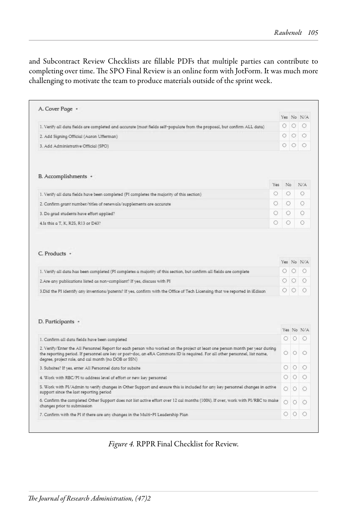and Subcontract Review Checklists are fillable PDFs that multiple parties can contribute to completing over time. The SPO Final Review is an online form with JotForm. It was much more challenging to motivate the team to produce materials outside of the sprint week.

|                                                                                                                                                                                                                                                                                                                                                 |         |                 | Yes No N/A                    |
|-------------------------------------------------------------------------------------------------------------------------------------------------------------------------------------------------------------------------------------------------------------------------------------------------------------------------------------------------|---------|-----------------|-------------------------------|
| 1. Verify all data fields are completed and accurate (most fields self-populate from the proposal, but confirm ALL data)                                                                                                                                                                                                                        | О       | $\circ$         | -0                            |
| 2. Add Signing Official (Aaron Ufferman)                                                                                                                                                                                                                                                                                                        | O       | $\circ$         | $\circ$                       |
| 3. Add Administrative Official (SPO)                                                                                                                                                                                                                                                                                                            | $\circ$ | $\circ$         | $\circ$                       |
| B. Accomplishments *<br>Yes                                                                                                                                                                                                                                                                                                                     | No      |                 | N/A                           |
| O<br>1. Verify all data fields have been completed (PI completes the majority of this section)                                                                                                                                                                                                                                                  | $\circ$ |                 | $\circ$                       |
| O<br>2. Confirm grant number/titles of renewals/supplements are accurate                                                                                                                                                                                                                                                                        | O       |                 | O                             |
| O<br>3. Do grad students have effort applied?                                                                                                                                                                                                                                                                                                   | $\circ$ |                 | Ο                             |
| ⊙<br>4.Is this a T, K, R25, R13 or D43?                                                                                                                                                                                                                                                                                                         | O       |                 | O                             |
|                                                                                                                                                                                                                                                                                                                                                 | O       | $\circ$         | $\circ$                       |
|                                                                                                                                                                                                                                                                                                                                                 |         | $\circ$ $\circ$ | $\circ$                       |
| C. Products -<br>1. Verify all data has been completed (PI completes a majority of this section, but confirm all fields are complete<br>2.Are any publications listed as non-compliant? If yes, discuss with PI<br>3. Did the PI identify any inventions/patents? If yes, confirm with the Office of Tech Licensing that we reported in iEdison | 0       | $\circ$         | $\circ$                       |
| D. Participants *<br>1. Confirm all data fields have been completed<br>2. Verify/Enter the All Personnel Report for each person who worked on the project at least one person month per year during                                                                                                                                             | O       | О               | Ю                             |
| the reporting period. If personnel are key or post-doc, an eRA Commons ID is required. For all other personnel, list name,<br>degree, project role, and cal month (no DOB or SSN)                                                                                                                                                               | 0       | $\circ$         | $\circ$                       |
| 3. Subsites? If yes, enter All Personnel data for subsite                                                                                                                                                                                                                                                                                       | 0       | $\circ$         | $\circ$                       |
| 4. Work with RBC/PI to address level of effort or new key personnel                                                                                                                                                                                                                                                                             | 0       | 10              | $\bigcirc$                    |
|                                                                                                                                                                                                                                                                                                                                                 | O       | $\circ$         | O                             |
| 5. Work with PL/Admin to verify changes in Other Support and ensure this is included for any key personnel changes in active<br>support since the last reporting period<br>6. Confirm the completed Other Support does not list active effort over 12 cal months (100%). If over, work with PL/RBC to make<br>changes prior to submission       | O       | О               | Yes No N/A<br>Yes No N/A<br>O |

*Figure 4.* RPPR Final Checklist for Review.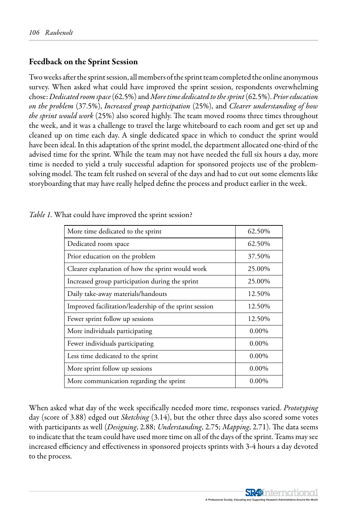### Feedback on the Sprint Session

Two weeks after the sprint session, all members of the sprint team completed the online anonymous survey. When asked what could have improved the sprint session, respondents overwhelming chose: *Dedicated room space* (62.5%) and *More time dedicated to the sprint* (62.5%). *Prior education on the problem* (37.5%), *Increased group participation* (25%), and *Clearer understanding of how the sprint would work* (25%) also scored highly. The team moved rooms three times throughout the week, and it was a challenge to travel the large whiteboard to each room and get set up and cleaned up on time each day. A single dedicated space in which to conduct the sprint would have been ideal. In this adaptation of the sprint model, the department allocated one-third of the advised time for the sprint. While the team may not have needed the full six hours a day, more time is needed to yield a truly successful adaption for sponsored projects use of the problemsolving model. The team felt rushed on several of the days and had to cut out some elements like storyboarding that may have really helped define the process and product earlier in the week.

| More time dedicated to the sprint                      | 62.50%   |
|--------------------------------------------------------|----------|
| Dedicated room space                                   | 62.50%   |
| Prior education on the problem                         | 37.50%   |
| Clearer explanation of how the sprint would work       | 25.00%   |
| Increased group participation during the sprint        | 25.00%   |
| Daily take-away materials/handouts                     | 12.50%   |
| Improved facilitation/leadership of the sprint session | 12.50%   |
| Fewer sprint follow up sessions                        | 12.50%   |
| More individuals participating                         | $0.00\%$ |
| Fewer individuals participating                        | $0.00\%$ |
| Less time dedicated to the sprint                      | $0.00\%$ |
| More sprint follow up sessions                         | $0.00\%$ |
| More communication regarding the sprint                | $0.00\%$ |

| Table 1. What could have improved the sprint session? |  |  |  |  |  |  |  |  |  |
|-------------------------------------------------------|--|--|--|--|--|--|--|--|--|
|-------------------------------------------------------|--|--|--|--|--|--|--|--|--|

When asked what day of the week specifically needed more time, responses varied. *Prototyping*  day (score of 3.88) edged out *Sketching* (3.14), but the other three days also scored some votes with participants as well (*Designing*, 2.88; *Understanding*, 2.75; *Mapping*, 2.71). The data seems to indicate that the team could have used more time on all of the days of the sprint. Teams may see increased efficiency and effectiveness in sponsored projects sprints with 3-4 hours a day devoted to the process.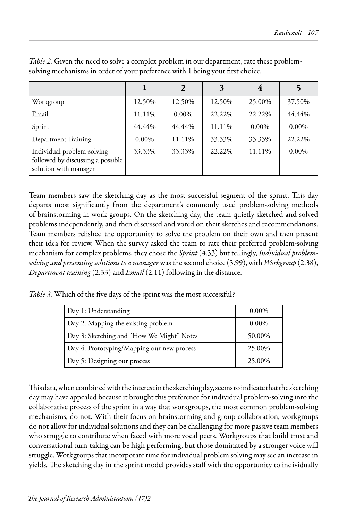|                                                                                          |          | 2        | 3      |          |          |
|------------------------------------------------------------------------------------------|----------|----------|--------|----------|----------|
| Workgroup                                                                                | 12.50%   | 12.50%   | 12.50% | 25.00%   | 37.50%   |
| Email                                                                                    | 11.11%   | $0.00\%$ | 22.22% | 22.22%   | 44.44%   |
| Sprint                                                                                   | 44.44%   | 44.44%   | 11.11% | $0.00\%$ | $0.00\%$ |
| Department Training                                                                      | $0.00\%$ | 11.11%   | 33.33% | 33.33%   | 22.22%   |
| Individual problem-solving<br>followed by discussing a possible<br>solution with manager | 33.33%   | 33.33%   | 22.22% | 11.11%   | $0.00\%$ |

*Table 2.* Given the need to solve a complex problem in our department, rate these problemsolving mechanisms in order of your preference with 1 being your first choice.

Team members saw the sketching day as the most successful segment of the sprint. This day departs most significantly from the department's commonly used problem-solving methods of brainstorming in work groups. On the sketching day, the team quietly sketched and solved problems independently, and then discussed and voted on their sketches and recommendations. Team members relished the opportunity to solve the problem on their own and then present their idea for review. When the survey asked the team to rate their preferred problem-solving mechanism for complex problems, they chose the *Sprint* (4.33) but tellingly, *Individual problemsolving and presenting solutions to a manager* was the second choice (3.99), with *Workgroup* (2.38), *Department training* (2.33) and *Email* (2.11) following in the distance.

*Table 3.* Which of the five days of the sprint was the most successful?

| Day 1: Understanding                       | $0.00\%$ |
|--------------------------------------------|----------|
| Day 2: Mapping the existing problem        | $0.00\%$ |
| Day 3: Sketching and "How We Might" Notes  | 50.00%   |
| Day 4: Prototyping/Mapping our new process | 25.00%   |
| Day 5: Designing our process               | 25.00%   |

This data, when combined with the interest in the sketching day, seems to indicate that the sketching day may have appealed because it brought this preference for individual problem-solving into the collaborative process of the sprint in a way that workgroups, the most common problem-solving mechanisms, do not. With their focus on brainstorming and group collaboration, workgroups do not allow for individual solutions and they can be challenging for more passive team members who struggle to contribute when faced with more vocal peers. Workgroups that build trust and conversational turn-taking can be high performing, but those dominated by a stronger voice will struggle. Workgroups that incorporate time for individual problem solving may see an increase in yields. The sketching day in the sprint model provides staff with the opportunity to individually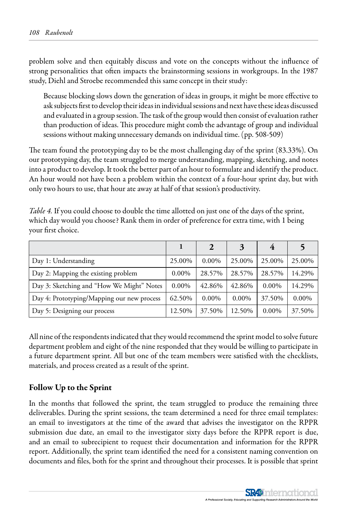problem solve and then equitably discuss and vote on the concepts without the influence of strong personalities that often impacts the brainstorming sessions in workgroups. In the 1987 study, Diehl and Stroebe recommended this same concept in their study:

Because blocking slows down the generation of ideas in groups, it might be more effective to ask subjects first to develop their ideas in individual sessions and next have these ideas discussed and evaluated in a group session. The task of the group would then consist of evaluation rather than production of ideas. This procedure might comb the advantage of group and individual sessions without making unnecessary demands on individual time. (pp. 508-509)

The team found the prototyping day to be the most challenging day of the sprint (83.33%). On our prototyping day, the team struggled to merge understanding, mapping, sketching, and notes into a product to develop. It took the better part of an hour to formulate and identify the product. An hour would not have been a problem within the context of a four-hour sprint day, but with only two hours to use, that hour ate away at half of that session's productivity.

| Day 1: Understanding                       | 25.00%   | $0.00\%$ | 25.00%   | 25.00%   | 25.00%   |
|--------------------------------------------|----------|----------|----------|----------|----------|
| Day 2: Mapping the existing problem        | $0.00\%$ | 28.57%   | 28.57%   | 28.57%   | 14.29%   |
| Day 3: Sketching and "How We Might" Notes  | $0.00\%$ | 42.86%   | 42.86%   | $0.00\%$ | 14.29%   |
| Day 4: Prototyping/Mapping our new process | 62.50%   | $0.00\%$ | $0.00\%$ | 37.50%   | $0.00\%$ |
| Day 5: Designing our process               | 12.50%   | 37.50%   | 12.50%   | $0.00\%$ | 37.50%   |

*Table 4.* If you could choose to double the time allotted on just one of the days of the sprint, which day would you choose? Rank them in order of preference for extra time, with 1 being your first choice.

All nine of the respondents indicated that they would recommend the sprint model to solve future department problem and eight of the nine responded that they would be willing to participate in a future department sprint. All but one of the team members were satisfied with the checklists, materials, and process created as a result of the sprint.

### Follow Up to the Sprint

In the months that followed the sprint, the team struggled to produce the remaining three deliverables. During the sprint sessions, the team determined a need for three email templates: an email to investigators at the time of the award that advises the investigator on the RPPR submission due date, an email to the investigator sixty days before the RPPR report is due, and an email to subrecipient to request their documentation and information for the RPPR report. Additionally, the sprint team identified the need for a consistent naming convention on documents and files, both for the sprint and throughout their processes. It is possible that sprint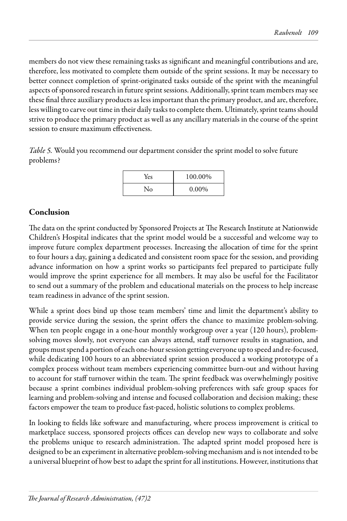members do not view these remaining tasks as significant and meaningful contributions and are, therefore, less motivated to complete them outside of the sprint sessions. It may be necessary to better connect completion of sprint-originated tasks outside of the sprint with the meaningful aspects of sponsored research in future sprint sessions. Additionally, sprint team members may see these final three auxiliary products as less important than the primary product, and are, therefore, less willing to carve out time in their daily tasks to complete them. Ultimately, sprint teams should strive to produce the primary product as well as any ancillary materials in the course of the sprint session to ensure maximum effectiveness.

*Table 5.* Would you recommend our department consider the sprint model to solve future problems?

| Yes | 100.00%  |
|-----|----------|
| No  | $0.00\%$ |

# Conclusion

The data on the sprint conducted by Sponsored Projects at The Research Institute at Nationwide Children's Hospital indicates that the sprint model would be a successful and welcome way to improve future complex department processes. Increasing the allocation of time for the sprint to four hours a day, gaining a dedicated and consistent room space for the session, and providing advance information on how a sprint works so participants feel prepared to participate fully would improve the sprint experience for all members. It may also be useful for the Facilitator to send out a summary of the problem and educational materials on the process to help increase team readiness in advance of the sprint session.

While a sprint does bind up those team members' time and limit the department's ability to provide service during the session, the sprint offers the chance to maximize problem-solving. When ten people engage in a one-hour monthly workgroup over a year (120 hours), problemsolving moves slowly, not everyone can always attend, staff turnover results in stagnation, and groups must spend a portion of each one-hour session getting everyone up to speed and re-focused, while dedicating 100 hours to an abbreviated sprint session produced a working prototype of a complex process without team members experiencing committee burn-out and without having to account for staff turnover within the team. The sprint feedback was overwhelmingly positive because a sprint combines individual problem-solving preferences with safe group spaces for learning and problem-solving and intense and focused collaboration and decision making; these factors empower the team to produce fast-paced, holistic solutions to complex problems.

In looking to fields like software and manufacturing, where process improvement is critical to marketplace success, sponsored projects offices can develop new ways to collaborate and solve the problems unique to research administration. The adapted sprint model proposed here is designed to be an experiment in alternative problem-solving mechanism and is not intended to be a universal blueprint of how best to adapt the sprint for all institutions. However, institutions that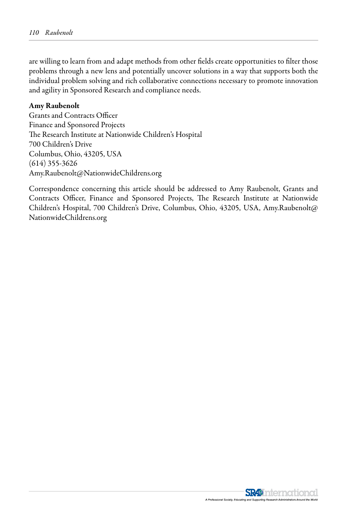are willing to learn from and adapt methods from other fields create opportunities to filter those problems through a new lens and potentially uncover solutions in a way that supports both the individual problem solving and rich collaborative connections necessary to promote innovation and agility in Sponsored Research and compliance needs.

#### Amy Raubenolt

Grants and Contracts Officer Finance and Sponsored Projects The Research Institute at Nationwide Children's Hospital 700 Children's Drive Columbus, Ohio, 43205, USA (614) 355-3626 Amy.Raubenolt@NationwideChildrens.org

Correspondence concerning this article should be addressed to Amy Raubenolt, Grants and Contracts Officer, Finance and Sponsored Projects, The Research Institute at Nationwide Children's Hospital, 700 Children's Drive, Columbus, Ohio, 43205, USA, Amy.Raubenolt@ NationwideChildrens.org